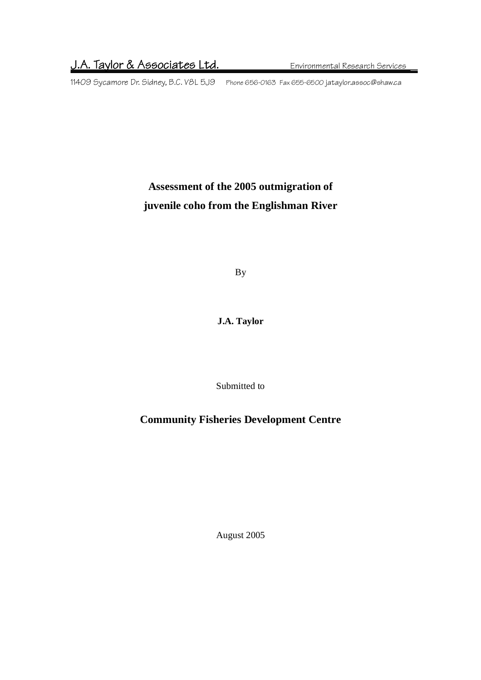### J.A. Taylor & Associates Ltd. Environmental Research Services

11409 Sycamore Dr. Sidney, B.C. V8L 5J9 Phone 656-0163 Fax 655-6500 jataylor.assoc@shaw.ca

# **Assessment of the 2005 outmigration of juvenile coho from the Englishman River**

By

### **J.A. Taylor**

Submitted to

### **Community Fisheries Development Centre**

August 2005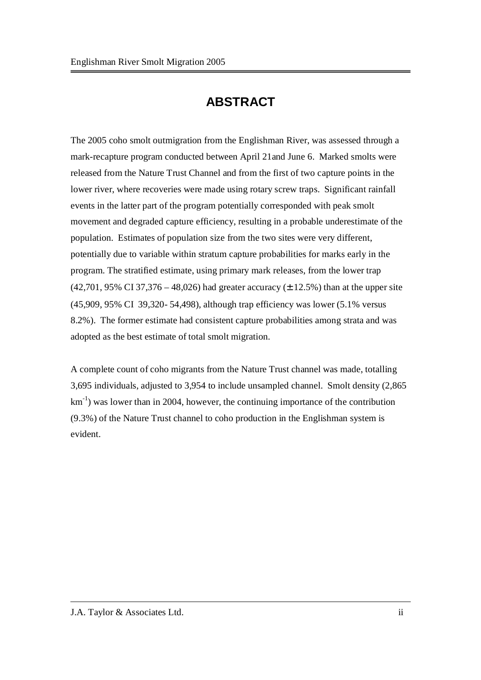# **ABSTRACT**

The 2005 coho smolt outmigration from the Englishman River, was assessed through a mark-recapture program conducted between April 21and June 6. Marked smolts were released from the Nature Trust Channel and from the first of two capture points in the lower river, where recoveries were made using rotary screw traps. Significant rainfall events in the latter part of the program potentially corresponded with peak smolt movement and degraded capture efficiency, resulting in a probable underestimate of the population. Estimates of population size from the two sites were very different, potentially due to variable within stratum capture probabilities for marks early in the program. The stratified estimate, using primary mark releases, from the lower trap  $(42,701, 95\% \text{ CI } 37,376 - 48,026)$  had greater accuracy ( $\pm$  12.5%) than at the upper site (45,909, 95% CI 39,320- 54,498), although trap efficiency was lower (5.1% versus 8.2%). The former estimate had consistent capture probabilities among strata and was adopted as the best estimate of total smolt migration.

A complete count of coho migrants from the Nature Trust channel was made, totalling 3,695 individuals, adjusted to 3,954 to include unsampled channel. Smolt density (2,865  $km<sup>-1</sup>$ ) was lower than in 2004, however, the continuing importance of the contribution (9.3%) of the Nature Trust channel to coho production in the Englishman system is evident.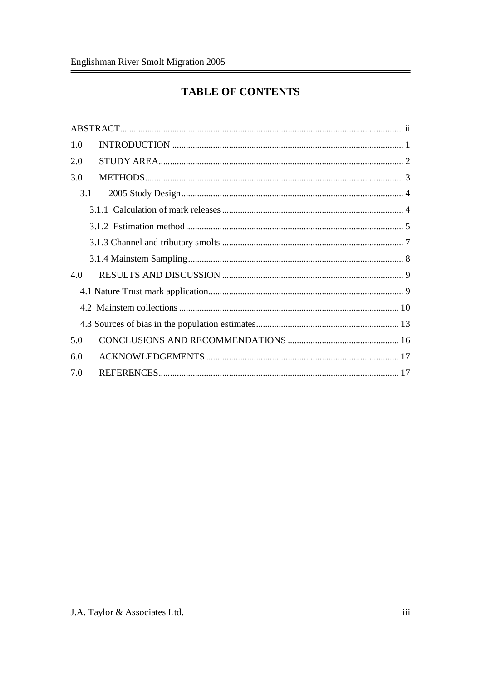# **TABLE OF CONTENTS**

| 1.0 |
|-----|
| 2.0 |
| 3.0 |
| 3.1 |
|     |
|     |
|     |
|     |
| 4.0 |
|     |
|     |
|     |
| 5.0 |
| 6.0 |
| 7.0 |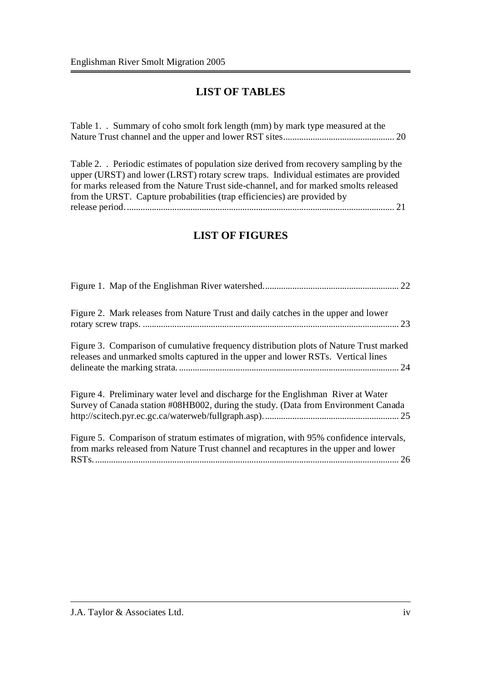### **LIST OF TABLES**

Table 1. . Summary of coho smolt fork length (mm) by mark type measured at the Nature Trust channel and the upper and lower RST sites................................................. 20

Table 2. . Periodic estimates of population size derived from recovery sampling by the upper (URST) and lower (LRST) rotary screw traps. Individual estimates are provided for marks released from the Nature Trust side-channel, and for marked smolts released from the URST. Capture probabilities (trap efficiencies) are provided by release period....................................................................................................................... 21

### **LIST OF FIGURES**

| Figure 2. Mark releases from Nature Trust and daily catches in the upper and lower                                                                                            |
|-------------------------------------------------------------------------------------------------------------------------------------------------------------------------------|
| Figure 3. Comparison of cumulative frequency distribution plots of Nature Trust marked<br>releases and unmarked smolts captured in the upper and lower RSTs. Vertical lines   |
| Figure 4. Preliminary water level and discharge for the Englishman River at Water<br>Survey of Canada station #08HB002, during the study. (Data from Environment Canada       |
| Figure 5. Comparison of stratum estimates of migration, with 95% confidence intervals,<br>from marks released from Nature Trust channel and recaptures in the upper and lower |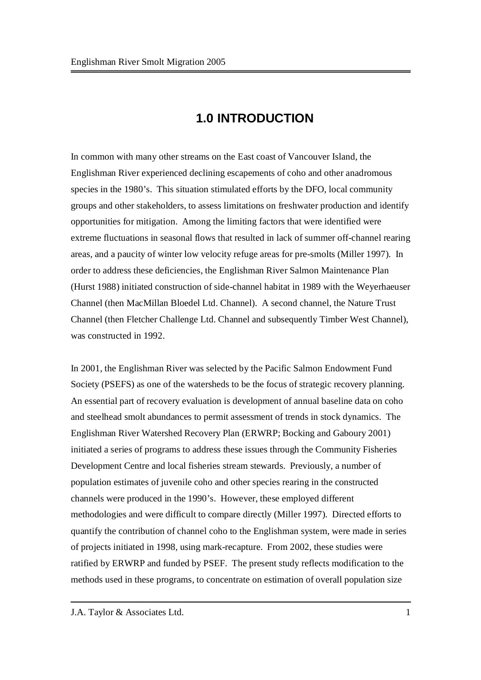# **1.0 INTRODUCTION**

In common with many other streams on the East coast of Vancouver Island, the Englishman River experienced declining escapements of coho and other anadromous species in the 1980's. This situation stimulated efforts by the DFO, local community groups and other stakeholders, to assess limitations on freshwater production and identify opportunities for mitigation. Among the limiting factors that were identified were extreme fluctuations in seasonal flows that resulted in lack of summer off-channel rearing areas, and a paucity of winter low velocity refuge areas for pre-smolts (Miller 1997). In order to address these deficiencies, the Englishman River Salmon Maintenance Plan (Hurst 1988) initiated construction of side-channel habitat in 1989 with the Weyerhaeuser Channel (then MacMillan Bloedel Ltd. Channel). A second channel, the Nature Trust Channel (then Fletcher Challenge Ltd. Channel and subsequently Timber West Channel), was constructed in 1992.

In 2001, the Englishman River was selected by the Pacific Salmon Endowment Fund Society (PSEFS) as one of the watersheds to be the focus of strategic recovery planning. An essential part of recovery evaluation is development of annual baseline data on coho and steelhead smolt abundances to permit assessment of trends in stock dynamics. The Englishman River Watershed Recovery Plan (ERWRP; Bocking and Gaboury 2001) initiated a series of programs to address these issues through the Community Fisheries Development Centre and local fisheries stream stewards. Previously, a number of population estimates of juvenile coho and other species rearing in the constructed channels were produced in the 1990's. However, these employed different methodologies and were difficult to compare directly (Miller 1997). Directed efforts to quantify the contribution of channel coho to the Englishman system, were made in series of projects initiated in 1998, using mark-recapture. From 2002, these studies were ratified by ERWRP and funded by PSEF. The present study reflects modification to the methods used in these programs, to concentrate on estimation of overall population size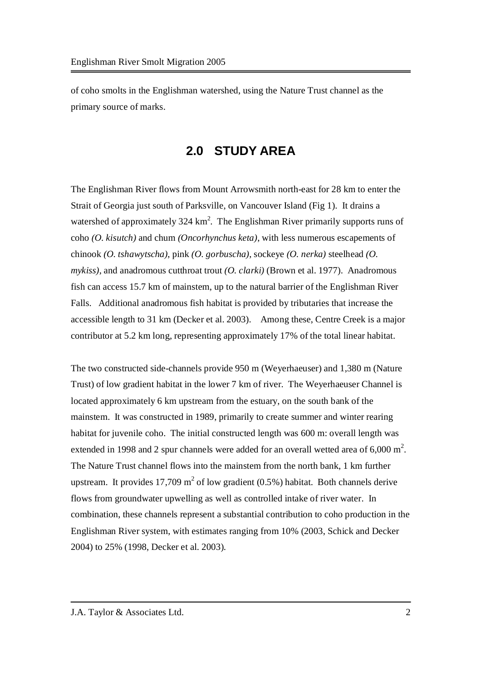of coho smolts in the Englishman watershed, using the Nature Trust channel as the primary source of marks.

### **2.0 STUDY AREA**

The Englishman River flows from Mount Arrowsmith north-east for 28 km to enter the Strait of Georgia just south of Parksville, on Vancouver Island (Fig 1). It drains a watershed of approximately 324  $km^2$ . The Englishman River primarily supports runs of coho *(O. kisutch)* and chum *(Oncorhynchus keta)*, with less numerous escapements of chinook *(O. tshawytscha)*, pink *(O. gorbuscha)*, sockeye *(O. nerka)* steelhead *(O. mykiss)*, and anadromous cutthroat trout *(O. clarki)* (Brown et al. 1977). Anadromous fish can access 15.7 km of mainstem, up to the natural barrier of the Englishman River Falls. Additional anadromous fish habitat is provided by tributaries that increase the accessible length to 31 km (Decker et al. 2003). Among these, Centre Creek is a major contributor at 5.2 km long, representing approximately 17% of the total linear habitat.

The two constructed side-channels provide 950 m (Weyerhaeuser) and 1,380 m (Nature Trust) of low gradient habitat in the lower 7 km of river. The Weyerhaeuser Channel is located approximately 6 km upstream from the estuary, on the south bank of the mainstem. It was constructed in 1989, primarily to create summer and winter rearing habitat for juvenile coho. The initial constructed length was 600 m: overall length was extended in 1998 and 2 spur channels were added for an overall wetted area of 6,000  $m^2$ . The Nature Trust channel flows into the mainstem from the north bank, 1 km further upstream. It provides 17,709 m<sup>2</sup> of low gradient (0.5%) habitat. Both channels derive flows from groundwater upwelling as well as controlled intake of river water. In combination, these channels represent a substantial contribution to coho production in the Englishman River system, with estimates ranging from 10% (2003, Schick and Decker 2004) to 25% (1998, Decker et al. 2003).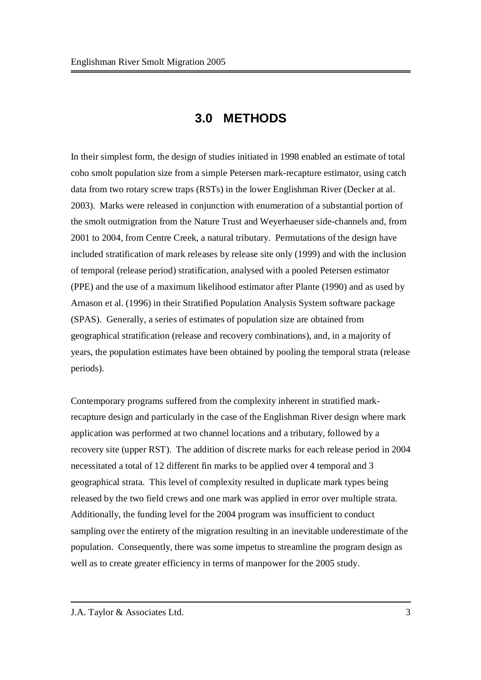### **3.0 METHODS**

In their simplest form, the design of studies initiated in 1998 enabled an estimate of total coho smolt population size from a simple Petersen mark-recapture estimator, using catch data from two rotary screw traps (RSTs) in the lower Englishman River (Decker at al. 2003). Marks were released in conjunction with enumeration of a substantial portion of the smolt outmigration from the Nature Trust and Weyerhaeuser side-channels and, from 2001 to 2004, from Centre Creek, a natural tributary. Permutations of the design have included stratification of mark releases by release site only (1999) and with the inclusion of temporal (release period) stratification, analysed with a pooled Petersen estimator (PPE) and the use of a maximum likelihood estimator after Plante (1990) and as used by Arnason et al. (1996) in their Stratified Population Analysis System software package (SPAS). Generally, a series of estimates of population size are obtained from geographical stratification (release and recovery combinations), and, in a majority of years, the population estimates have been obtained by pooling the temporal strata (release periods).

Contemporary programs suffered from the complexity inherent in stratified markrecapture design and particularly in the case of the Englishman River design where mark application was performed at two channel locations and a tributary, followed by a recovery site (upper RST). The addition of discrete marks for each release period in 2004 necessitated a total of 12 different fin marks to be applied over 4 temporal and 3 geographical strata. This level of complexity resulted in duplicate mark types being released by the two field crews and one mark was applied in error over multiple strata. Additionally, the funding level for the 2004 program was insufficient to conduct sampling over the entirety of the migration resulting in an inevitable underestimate of the population. Consequently, there was some impetus to streamline the program design as well as to create greater efficiency in terms of manpower for the 2005 study.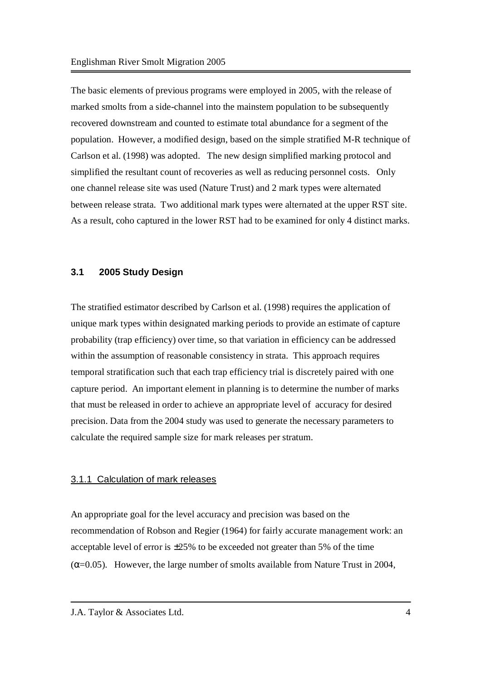The basic elements of previous programs were employed in 2005, with the release of marked smolts from a side-channel into the mainstem population to be subsequently recovered downstream and counted to estimate total abundance for a segment of the population. However, a modified design, based on the simple stratified M-R technique of Carlson et al. (1998) was adopted. The new design simplified marking protocol and simplified the resultant count of recoveries as well as reducing personnel costs. Only one channel release site was used (Nature Trust) and 2 mark types were alternated between release strata. Two additional mark types were alternated at the upper RST site. As a result, coho captured in the lower RST had to be examined for only 4 distinct marks.

#### **3.1 2005 Study Design**

The stratified estimator described by Carlson et al. (1998) requires the application of unique mark types within designated marking periods to provide an estimate of capture probability (trap efficiency) over time, so that variation in efficiency can be addressed within the assumption of reasonable consistency in strata. This approach requires temporal stratification such that each trap efficiency trial is discretely paired with one capture period. An important element in planning is to determine the number of marks that must be released in order to achieve an appropriate level of accuracy for desired precision. Data from the 2004 study was used to generate the necessary parameters to calculate the required sample size for mark releases per stratum.

#### 3.1.1 Calculation of mark releases

An appropriate goal for the level accuracy and precision was based on the recommendation of Robson and Regier (1964) for fairly accurate management work: an acceptable level of error is  $\pm 25\%$  to be exceeded not greater than 5% of the time  $(\alpha=0.05)$ . However, the large number of smolts available from Nature Trust in 2004,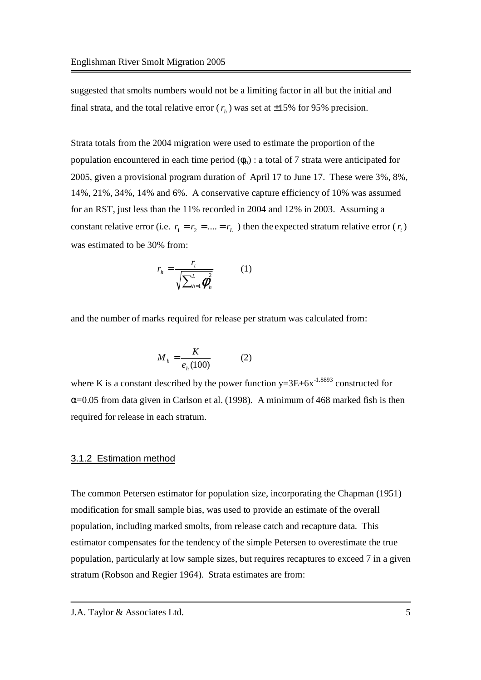suggested that smolts numbers would not be a limiting factor in all but the initial and final strata, and the total relative error  $(r_h)$  was set at  $\pm 15\%$  for 95% precision.

Strata totals from the 2004 migration were used to estimate the proportion of the population encountered in each time period  $(\phi_h)$  : a total of 7 strata were anticipated for 2005, given a provisional program duration of April 17 to June 17. These were 3%, 8%, 14%, 21%, 34%, 14% and 6%. A conservative capture efficiency of 10% was assumed for an RST, just less than the 11% recorded in 2004 and 12% in 2003. Assuming a constant relative error (i.e.  $r_1 = r_2 = ... = r_L$ ) then the expected stratum relative error ( $r_t$ ) was estimated to be 30% from:

$$
r_h = \frac{r_t}{\sqrt{\sum_{h=1}^L \phi_h^2}} \qquad (1)
$$

and the number of marks required for release per stratum was calculated from:

$$
M_h = \frac{K}{e_h(100)}\tag{2}
$$

where K is a constant described by the power function  $y=3E+6x^{-1.8893}$  constructed for  $\alpha$ =0.05 from data given in Carlson et al. (1998). A minimum of 468 marked fish is then required for release in each stratum.

#### 3.1.2 Estimation method

The common Petersen estimator for population size, incorporating the Chapman (1951) modification for small sample bias, was used to provide an estimate of the overall population, including marked smolts, from release catch and recapture data. This estimator compensates for the tendency of the simple Petersen to overestimate the true population, particularly at low sample sizes, but requires recaptures to exceed 7 in a given stratum (Robson and Regier 1964). Strata estimates are from:

J.A. Taylor & Associates Ltd. 5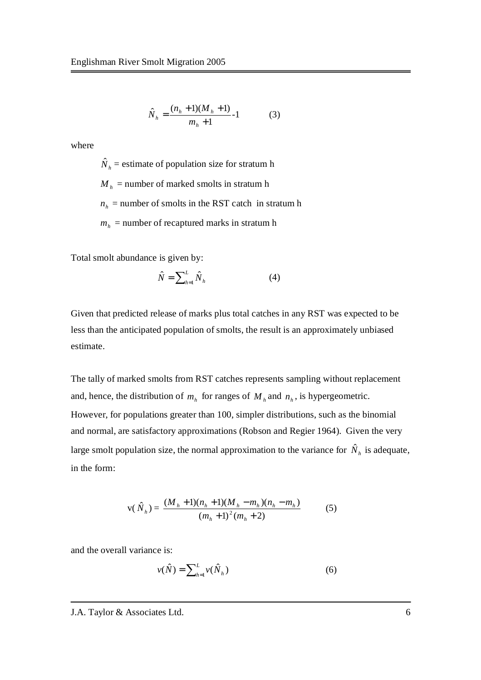$$
\hat{N}_h = \frac{(n_h + 1)(M_h + 1)}{m_h + 1} - 1
$$
 (3)

where

 $\hat{N}_h$  = estimate of population size for stratum h  $M_h$  = number of marked smolts in stratum h  $n_h$  = number of smolts in the RST catch in stratum h  $m_h$  = number of recaptured marks in stratum h

Total smolt abundance is given by:

$$
\hat{N} = \sum_{h=1}^{L} \hat{N}_h \tag{4}
$$

Given that predicted release of marks plus total catches in any RST was expected to be less than the anticipated population of smolts, the result is an approximately unbiased estimate.

The tally of marked smolts from RST catches represents sampling without replacement and, hence, the distribution of  $m_h$  for ranges of  $M_h$  and  $n_h$ , is hypergeometric. However, for populations greater than 100, simpler distributions, such as the binomial and normal, are satisfactory approximations (Robson and Regier 1964). Given the very large smolt population size, the normal approximation to the variance for  $\hat{N}_h$  is adequate, in the form:

$$
v(\hat{N}_h) = \frac{(M_h + 1)(n_h + 1)(M_h - m_h)(n_h - m_h)}{(m_h + 1)^2 (m_h + 2)}
$$
(5)

and the overall variance is:

$$
v(\hat{N}) = \sum_{h=1}^{L} v(\hat{N}_h)
$$
\n(6)

J.A. Taylor & Associates Ltd. 6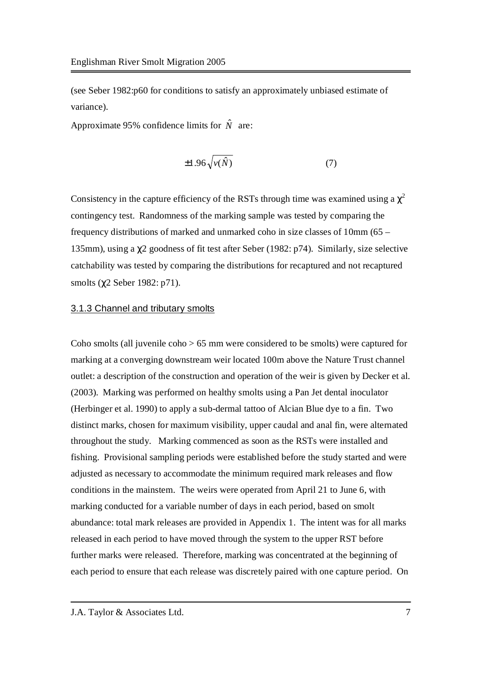(see Seber 1982:p60 for conditions to satisfy an approximately unbiased estimate of variance).

Approximate 95% confidence limits for  $\hat{N}$  are:

$$
\pm 1.96\sqrt{v(\hat{N})} \tag{7}
$$

Consistency in the capture efficiency of the RSTs through time was examined using a  $\chi^2$ contingency test. Randomness of the marking sample was tested by comparing the frequency distributions of marked and unmarked coho in size classes of 10mm (65 – 135mm), using a χ2 goodness of fit test after Seber (1982: p74). Similarly, size selective catchability was tested by comparing the distributions for recaptured and not recaptured smolts (χ2 Seber 1982: p71).

#### 3.1.3 Channel and tributary smolts

Coho smolts (all juvenile coho > 65 mm were considered to be smolts) were captured for marking at a converging downstream weir located 100m above the Nature Trust channel outlet: a description of the construction and operation of the weir is given by Decker et al. (2003). Marking was performed on healthy smolts using a Pan Jet dental inoculator (Herbinger et al. 1990) to apply a sub-dermal tattoo of Alcian Blue dye to a fin. Two distinct marks, chosen for maximum visibility, upper caudal and anal fin, were alternated throughout the study. Marking commenced as soon as the RSTs were installed and fishing. Provisional sampling periods were established before the study started and were adjusted as necessary to accommodate the minimum required mark releases and flow conditions in the mainstem. The weirs were operated from April 21 to June 6, with marking conducted for a variable number of days in each period, based on smolt abundance: total mark releases are provided in Appendix 1. The intent was for all marks released in each period to have moved through the system to the upper RST before further marks were released. Therefore, marking was concentrated at the beginning of each period to ensure that each release was discretely paired with one capture period. On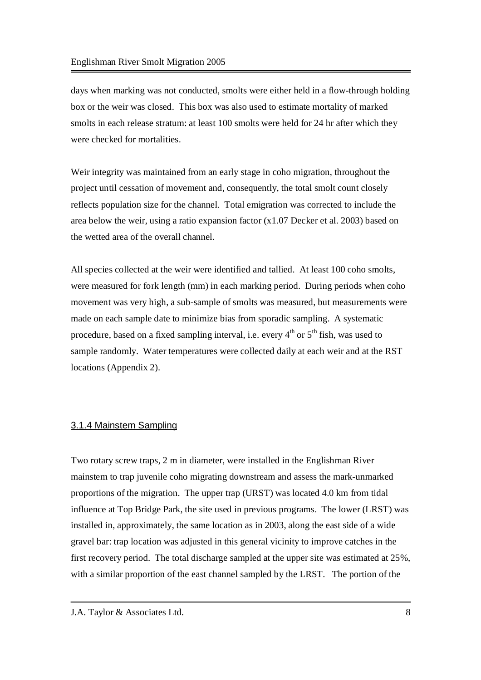days when marking was not conducted, smolts were either held in a flow-through holding box or the weir was closed. This box was also used to estimate mortality of marked smolts in each release stratum: at least 100 smolts were held for 24 hr after which they were checked for mortalities.

Weir integrity was maintained from an early stage in coho migration, throughout the project until cessation of movement and, consequently, the total smolt count closely reflects population size for the channel. Total emigration was corrected to include the area below the weir, using a ratio expansion factor (x1.07 Decker et al. 2003) based on the wetted area of the overall channel.

All species collected at the weir were identified and tallied. At least 100 coho smolts, were measured for fork length (mm) in each marking period. During periods when coho movement was very high, a sub-sample of smolts was measured, but measurements were made on each sample date to minimize bias from sporadic sampling. A systematic procedure, based on a fixed sampling interval, i.e. every  $4<sup>th</sup>$  or  $5<sup>th</sup>$  fish, was used to sample randomly. Water temperatures were collected daily at each weir and at the RST locations (Appendix 2).

#### 3.1.4 Mainstem Sampling

Two rotary screw traps, 2 m in diameter, were installed in the Englishman River mainstem to trap juvenile coho migrating downstream and assess the mark-unmarked proportions of the migration. The upper trap (URST) was located 4.0 km from tidal influence at Top Bridge Park, the site used in previous programs. The lower (LRST) was installed in, approximately, the same location as in 2003, along the east side of a wide gravel bar: trap location was adjusted in this general vicinity to improve catches in the first recovery period. The total discharge sampled at the upper site was estimated at 25%, with a similar proportion of the east channel sampled by the LRST. The portion of the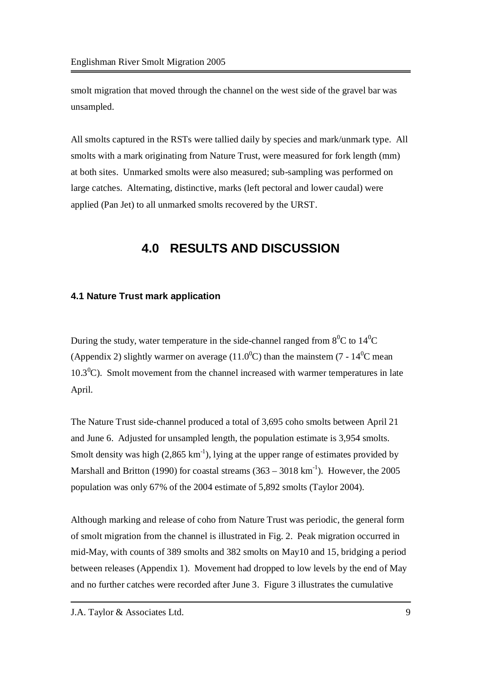smolt migration that moved through the channel on the west side of the gravel bar was unsampled.

All smolts captured in the RSTs were tallied daily by species and mark/unmark type. All smolts with a mark originating from Nature Trust, were measured for fork length (mm) at both sites. Unmarked smolts were also measured; sub-sampling was performed on large catches. Alternating, distinctive, marks (left pectoral and lower caudal) were applied (Pan Jet) to all unmarked smolts recovered by the URST.

### **4.0 RESULTS AND DISCUSSION**

#### **4.1 Nature Trust mark application**

During the study, water temperature in the side-channel ranged from  $8^0C$  to  $14^0C$ (Appendix 2) slightly warmer on average (11.0<sup>0</sup>C) than the mainstem (7 - 14<sup>0</sup>C mean  $10.3<sup>0</sup>C$ ). Smolt movement from the channel increased with warmer temperatures in late April.

The Nature Trust side-channel produced a total of 3,695 coho smolts between April 21 and June 6. Adjusted for unsampled length, the population estimate is 3,954 smolts. Smolt density was high  $(2,865 \text{ km}^{-1})$ , lying at the upper range of estimates provided by Marshall and Britton (1990) for coastal streams  $(363 - 3018 \text{ km}^{-1})$ . However, the 2005 population was only 67% of the 2004 estimate of 5,892 smolts (Taylor 2004).

Although marking and release of coho from Nature Trust was periodic, the general form of smolt migration from the channel is illustrated in Fig. 2. Peak migration occurred in mid-May, with counts of 389 smolts and 382 smolts on May10 and 15, bridging a period between releases (Appendix 1). Movement had dropped to low levels by the end of May and no further catches were recorded after June 3. Figure 3 illustrates the cumulative

J.A. Taylor & Associates Ltd. 9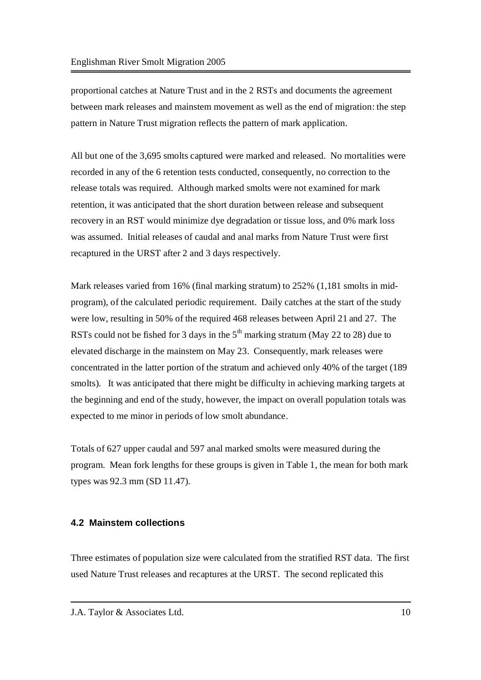proportional catches at Nature Trust and in the 2 RSTs and documents the agreement between mark releases and mainstem movement as well as the end of migration: the step pattern in Nature Trust migration reflects the pattern of mark application.

All but one of the 3,695 smolts captured were marked and released. No mortalities were recorded in any of the 6 retention tests conducted, consequently, no correction to the release totals was required. Although marked smolts were not examined for mark retention, it was anticipated that the short duration between release and subsequent recovery in an RST would minimize dye degradation or tissue loss, and 0% mark loss was assumed. Initial releases of caudal and anal marks from Nature Trust were first recaptured in the URST after 2 and 3 days respectively.

Mark releases varied from 16% (final marking stratum) to 252% (1,181 smolts in midprogram), of the calculated periodic requirement. Daily catches at the start of the study were low, resulting in 50% of the required 468 releases between April 21 and 27. The RSTs could not be fished for 3 days in the  $5<sup>th</sup>$  marking stratum (May 22 to 28) due to elevated discharge in the mainstem on May 23. Consequently, mark releases were concentrated in the latter portion of the stratum and achieved only 40% of the target (189 smolts). It was anticipated that there might be difficulty in achieving marking targets at the beginning and end of the study, however, the impact on overall population totals was expected to me minor in periods of low smolt abundance.

Totals of 627 upper caudal and 597 anal marked smolts were measured during the program. Mean fork lengths for these groups is given in Table 1, the mean for both mark types was 92.3 mm (SD 11.47).

#### **4.2 Mainstem collections**

Three estimates of population size were calculated from the stratified RST data. The first used Nature Trust releases and recaptures at the URST. The second replicated this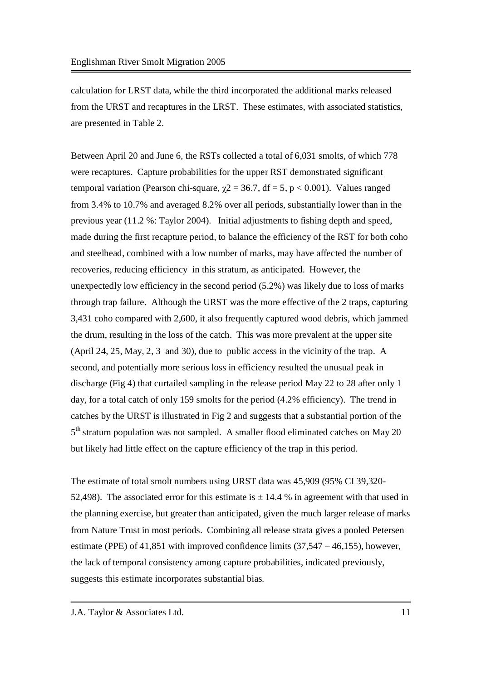calculation for LRST data, while the third incorporated the additional marks released from the URST and recaptures in the LRST. These estimates, with associated statistics, are presented in Table 2.

Between April 20 and June 6, the RSTs collected a total of 6,031 smolts, of which 778 were recaptures. Capture probabilities for the upper RST demonstrated significant temporal variation (Pearson chi-square,  $\gamma$ 2 = 36.7, df = 5, p < 0.001). Values ranged from 3.4% to 10.7% and averaged 8.2% over all periods, substantially lower than in the previous year (11.2 %: Taylor 2004). Initial adjustments to fishing depth and speed, made during the first recapture period, to balance the efficiency of the RST for both coho and steelhead, combined with a low number of marks, may have affected the number of recoveries, reducing efficiency in this stratum, as anticipated. However, the unexpectedly low efficiency in the second period (5.2%) was likely due to loss of marks through trap failure. Although the URST was the more effective of the 2 traps, capturing 3,431 coho compared with 2,600, it also frequently captured wood debris, which jammed the drum, resulting in the loss of the catch. This was more prevalent at the upper site (April 24, 25, May, 2, 3 and 30), due to public access in the vicinity of the trap. A second, and potentially more serious loss in efficiency resulted the unusual peak in discharge (Fig 4) that curtailed sampling in the release period May 22 to 28 after only 1 day, for a total catch of only 159 smolts for the period (4.2% efficiency). The trend in catches by the URST is illustrated in Fig 2 and suggests that a substantial portion of the 5<sup>th</sup> stratum population was not sampled. A smaller flood eliminated catches on May 20 but likely had little effect on the capture efficiency of the trap in this period.

The estimate of total smolt numbers using URST data was 45,909 (95% CI 39,320- 52,498). The associated error for this estimate is  $\pm$  14.4 % in agreement with that used in the planning exercise, but greater than anticipated, given the much larger release of marks from Nature Trust in most periods. Combining all release strata gives a pooled Petersen estimate (PPE) of 41,851 with improved confidence limits (37,547 – 46,155), however, the lack of temporal consistency among capture probabilities, indicated previously, suggests this estimate incorporates substantial bias.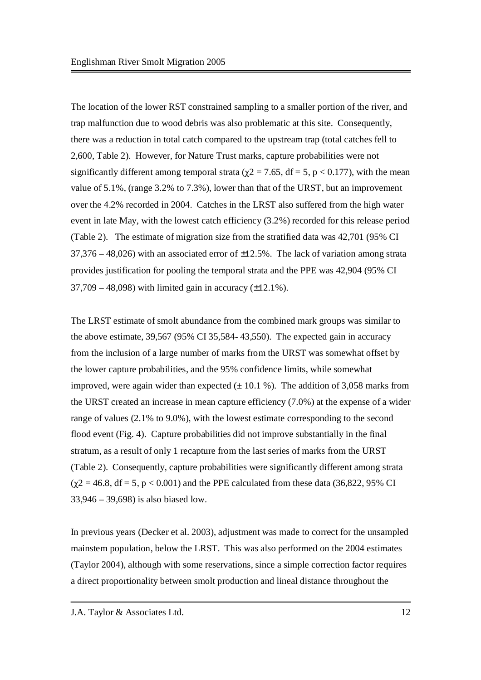The location of the lower RST constrained sampling to a smaller portion of the river, and trap malfunction due to wood debris was also problematic at this site. Consequently, there was a reduction in total catch compared to the upstream trap (total catches fell to 2,600, Table 2). However, for Nature Trust marks, capture probabilities were not significantly different among temporal strata ( $\gamma$ 2 = 7.65, df = 5, p < 0.177), with the mean value of 5.1%, (range 3.2% to 7.3%), lower than that of the URST, but an improvement over the 4.2% recorded in 2004. Catches in the LRST also suffered from the high water event in late May, with the lowest catch efficiency (3.2%) recorded for this release period (Table 2). The estimate of migration size from the stratified data was 42,701 (95% CI  $37,376 - 48,026$ ) with an associated error of  $\pm 12.5$ %. The lack of variation among strata provides justification for pooling the temporal strata and the PPE was 42,904 (95% CI  $37,709 - 48,098$ ) with limited gain in accuracy ( $\pm 12.1\%$ ).

The LRST estimate of smolt abundance from the combined mark groups was similar to the above estimate, 39,567 (95% CI 35,584- 43,550). The expected gain in accuracy from the inclusion of a large number of marks from the URST was somewhat offset by the lower capture probabilities, and the 95% confidence limits, while somewhat improved, were again wider than expected  $(\pm 10.1 \%)$ . The addition of 3,058 marks from the URST created an increase in mean capture efficiency (7.0%) at the expense of a wider range of values (2.1% to 9.0%), with the lowest estimate corresponding to the second flood event (Fig. 4). Capture probabilities did not improve substantially in the final stratum, as a result of only 1 recapture from the last series of marks from the URST (Table 2). Consequently, capture probabilities were significantly different among strata  $(\chi$ 2 = 46.8, df = 5, p < 0.001) and the PPE calculated from these data (36,822, 95% CI 33,946 – 39,698) is also biased low.

In previous years (Decker et al. 2003), adjustment was made to correct for the unsampled mainstem population, below the LRST. This was also performed on the 2004 estimates (Taylor 2004), although with some reservations, since a simple correction factor requires a direct proportionality between smolt production and lineal distance throughout the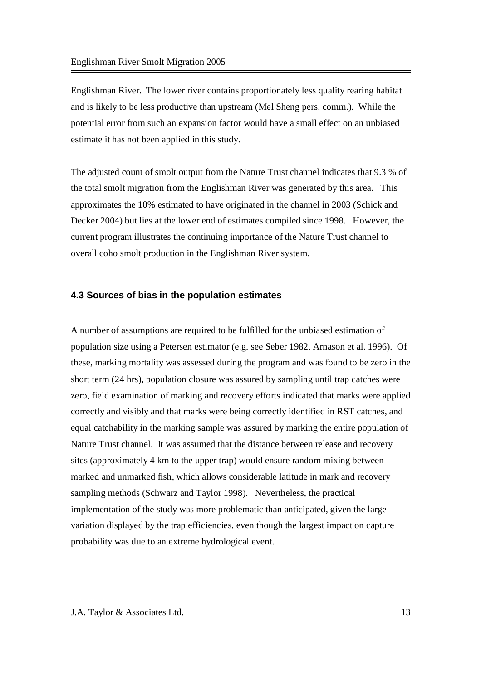Englishman River. The lower river contains proportionately less quality rearing habitat and is likely to be less productive than upstream (Mel Sheng pers. comm.). While the potential error from such an expansion factor would have a small effect on an unbiased estimate it has not been applied in this study.

The adjusted count of smolt output from the Nature Trust channel indicates that 9.3 % of the total smolt migration from the Englishman River was generated by this area. This approximates the 10% estimated to have originated in the channel in 2003 (Schick and Decker 2004) but lies at the lower end of estimates compiled since 1998. However, the current program illustrates the continuing importance of the Nature Trust channel to overall coho smolt production in the Englishman River system.

#### **4.3 Sources of bias in the population estimates**

A number of assumptions are required to be fulfilled for the unbiased estimation of population size using a Petersen estimator (e.g. see Seber 1982, Arnason et al. 1996). Of these, marking mortality was assessed during the program and was found to be zero in the short term (24 hrs), population closure was assured by sampling until trap catches were zero, field examination of marking and recovery efforts indicated that marks were applied correctly and visibly and that marks were being correctly identified in RST catches, and equal catchability in the marking sample was assured by marking the entire population of Nature Trust channel. It was assumed that the distance between release and recovery sites (approximately 4 km to the upper trap) would ensure random mixing between marked and unmarked fish, which allows considerable latitude in mark and recovery sampling methods (Schwarz and Taylor 1998). Nevertheless, the practical implementation of the study was more problematic than anticipated, given the large variation displayed by the trap efficiencies, even though the largest impact on capture probability was due to an extreme hydrological event.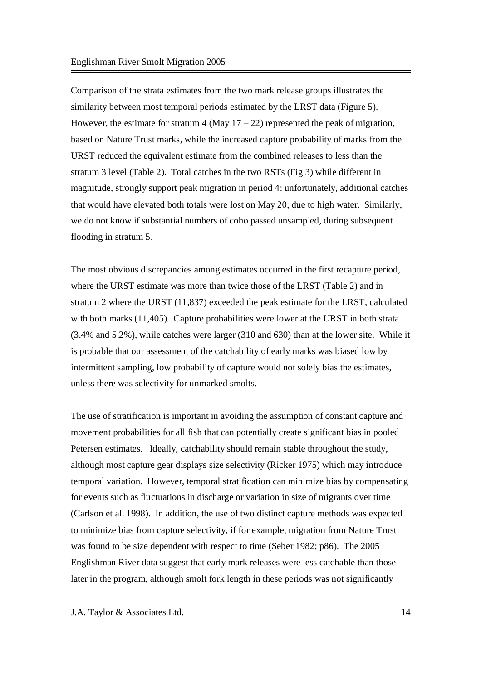Comparison of the strata estimates from the two mark release groups illustrates the similarity between most temporal periods estimated by the LRST data (Figure 5). However, the estimate for stratum 4 (May  $17 - 22$ ) represented the peak of migration, based on Nature Trust marks, while the increased capture probability of marks from the URST reduced the equivalent estimate from the combined releases to less than the stratum 3 level (Table 2). Total catches in the two RSTs (Fig 3) while different in magnitude, strongly support peak migration in period 4: unfortunately, additional catches that would have elevated both totals were lost on May 20, due to high water. Similarly, we do not know if substantial numbers of coho passed unsampled, during subsequent flooding in stratum 5.

The most obvious discrepancies among estimates occurred in the first recapture period, where the URST estimate was more than twice those of the LRST (Table 2) and in stratum 2 where the URST (11,837) exceeded the peak estimate for the LRST, calculated with both marks (11,405). Capture probabilities were lower at the URST in both strata (3.4% and 5.2%), while catches were larger (310 and 630) than at the lower site. While it is probable that our assessment of the catchability of early marks was biased low by intermittent sampling, low probability of capture would not solely bias the estimates, unless there was selectivity for unmarked smolts.

The use of stratification is important in avoiding the assumption of constant capture and movement probabilities for all fish that can potentially create significant bias in pooled Petersen estimates. Ideally, catchability should remain stable throughout the study, although most capture gear displays size selectivity (Ricker 1975) which may introduce temporal variation. However, temporal stratification can minimize bias by compensating for events such as fluctuations in discharge or variation in size of migrants over time (Carlson et al. 1998). In addition, the use of two distinct capture methods was expected to minimize bias from capture selectivity, if for example, migration from Nature Trust was found to be size dependent with respect to time (Seber 1982; p86). The 2005 Englishman River data suggest that early mark releases were less catchable than those later in the program, although smolt fork length in these periods was not significantly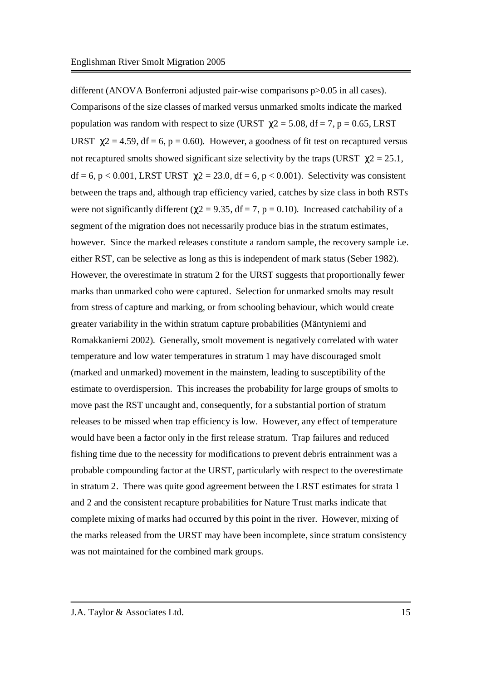different (ANOVA Bonferroni adjusted pair-wise comparisons p>0.05 in all cases). Comparisons of the size classes of marked versus unmarked smolts indicate the marked population was random with respect to size (URST  $\gamma$ 2 = 5.08, df = 7, p = 0.65, LRST URST  $\chi$ 2 = 4.59, df = 6, p = 0.60). However, a goodness of fit test on recaptured versus not recaptured smolts showed significant size selectivity by the traps (URST  $\chi$ 2 = 25.1,  $df = 6$ ,  $p < 0.001$ , LRST URST  $\gamma$ 2 = 23.0, df = 6, p < 0.001). Selectivity was consistent between the traps and, although trap efficiency varied, catches by size class in both RSTs were not significantly different ( $\chi$ 2 = 9.35, df = 7, p = 0.10). Increased catchability of a segment of the migration does not necessarily produce bias in the stratum estimates, however. Since the marked releases constitute a random sample, the recovery sample i.e. either RST, can be selective as long as this is independent of mark status (Seber 1982). However, the overestimate in stratum 2 for the URST suggests that proportionally fewer marks than unmarked coho were captured. Selection for unmarked smolts may result from stress of capture and marking, or from schooling behaviour, which would create greater variability in the within stratum capture probabilities (Mäntyniemi and Romakkaniemi 2002). Generally, smolt movement is negatively correlated with water temperature and low water temperatures in stratum 1 may have discouraged smolt (marked and unmarked) movement in the mainstem, leading to susceptibility of the estimate to overdispersion. This increases the probability for large groups of smolts to move past the RST uncaught and, consequently, for a substantial portion of stratum releases to be missed when trap efficiency is low. However, any effect of temperature would have been a factor only in the first release stratum. Trap failures and reduced fishing time due to the necessity for modifications to prevent debris entrainment was a probable compounding factor at the URST, particularly with respect to the overestimate in stratum 2. There was quite good agreement between the LRST estimates for strata 1 and 2 and the consistent recapture probabilities for Nature Trust marks indicate that complete mixing of marks had occurred by this point in the river. However, mixing of the marks released from the URST may have been incomplete, since stratum consistency was not maintained for the combined mark groups.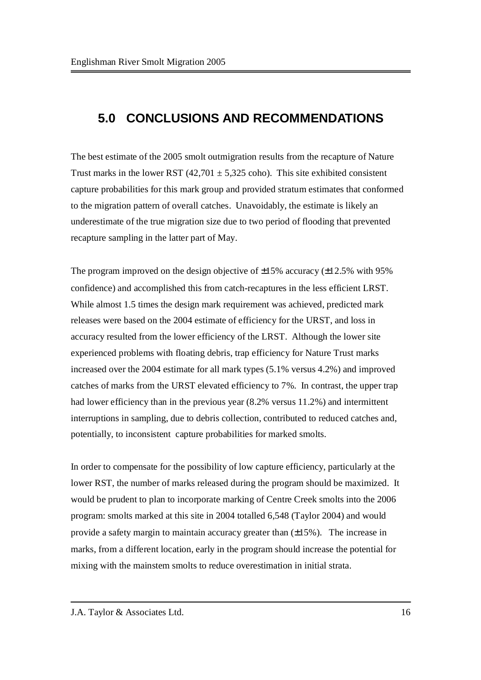### **5.0 CONCLUSIONS AND RECOMMENDATIONS**

The best estimate of the 2005 smolt outmigration results from the recapture of Nature Trust marks in the lower RST  $(42,701 \pm 5,325 \text{ coho})$ . This site exhibited consistent capture probabilities for this mark group and provided stratum estimates that conformed to the migration pattern of overall catches. Unavoidably, the estimate is likely an underestimate of the true migration size due to two period of flooding that prevented recapture sampling in the latter part of May.

The program improved on the design objective of  $\pm 15\%$  accuracy ( $\pm 12.5\%$  with 95% confidence) and accomplished this from catch-recaptures in the less efficient LRST. While almost 1.5 times the design mark requirement was achieved, predicted mark releases were based on the 2004 estimate of efficiency for the URST, and loss in accuracy resulted from the lower efficiency of the LRST. Although the lower site experienced problems with floating debris, trap efficiency for Nature Trust marks increased over the 2004 estimate for all mark types (5.1% versus 4.2%) and improved catches of marks from the URST elevated efficiency to 7%. In contrast, the upper trap had lower efficiency than in the previous year (8.2% versus 11.2%) and intermittent interruptions in sampling, due to debris collection, contributed to reduced catches and, potentially, to inconsistent capture probabilities for marked smolts.

In order to compensate for the possibility of low capture efficiency, particularly at the lower RST, the number of marks released during the program should be maximized. It would be prudent to plan to incorporate marking of Centre Creek smolts into the 2006 program: smolts marked at this site in 2004 totalled 6,548 (Taylor 2004) and would provide a safety margin to maintain accuracy greater than  $(\pm 15\%)$ . The increase in marks, from a different location, early in the program should increase the potential for mixing with the mainstem smolts to reduce overestimation in initial strata.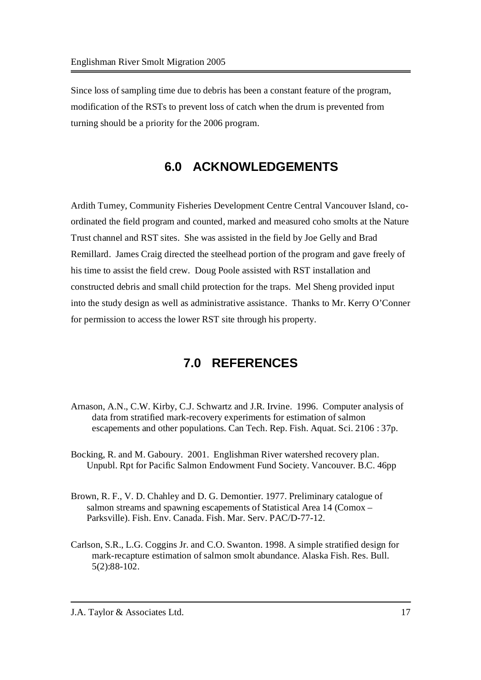Since loss of sampling time due to debris has been a constant feature of the program, modification of the RSTs to prevent loss of catch when the drum is prevented from turning should be a priority for the 2006 program.

# **6.0 ACKNOWLEDGEMENTS**

Ardith Turney, Community Fisheries Development Centre Central Vancouver Island, coordinated the field program and counted, marked and measured coho smolts at the Nature Trust channel and RST sites. She was assisted in the field by Joe Gelly and Brad Remillard. James Craig directed the steelhead portion of the program and gave freely of his time to assist the field crew. Doug Poole assisted with RST installation and constructed debris and small child protection for the traps. Mel Sheng provided input into the study design as well as administrative assistance. Thanks to Mr. Kerry O'Conner for permission to access the lower RST site through his property.

## **7.0 REFERENCES**

- Arnason, A.N., C.W. Kirby, C.J. Schwartz and J.R. Irvine. 1996. Computer analysis of data from stratified mark-recovery experiments for estimation of salmon escapements and other populations. Can Tech. Rep. Fish. Aquat. Sci. 2106 : 37p.
- Bocking, R. and M. Gaboury. 2001. Englishman River watershed recovery plan. Unpubl. Rpt for Pacific Salmon Endowment Fund Society. Vancouver. B.C. 46pp
- Brown, R. F., V. D. Chahley and D. G. Demontier. 1977. Preliminary catalogue of salmon streams and spawning escapements of Statistical Area 14 (Comox – Parksville). Fish. Env. Canada. Fish. Mar. Serv. PAC/D-77-12.
- Carlson, S.R., L.G. Coggins Jr. and C.O. Swanton. 1998. A simple stratified design for mark-recapture estimation of salmon smolt abundance. Alaska Fish. Res. Bull. 5(2):88-102.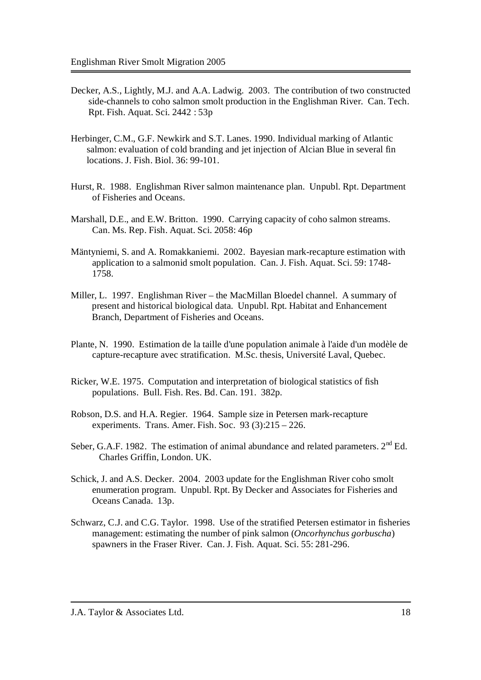- Decker, A.S., Lightly, M.J. and A.A. Ladwig. 2003. The contribution of two constructed side-channels to coho salmon smolt production in the Englishman River. Can. Tech. Rpt. Fish. Aquat. Sci. 2442 : 53p
- Herbinger, C.M., G.F. Newkirk and S.T. Lanes. 1990. Individual marking of Atlantic salmon: evaluation of cold branding and jet injection of Alcian Blue in several fin locations. J. Fish. Biol. 36: 99-101.
- Hurst, R. 1988. Englishman River salmon maintenance plan. Unpubl. Rpt. Department of Fisheries and Oceans.
- Marshall, D.E., and E.W. Britton. 1990. Carrying capacity of coho salmon streams. Can. Ms. Rep. Fish. Aquat. Sci. 2058: 46p
- Mäntyniemi, S. and A. Romakkaniemi. 2002. Bayesian mark-recapture estimation with application to a salmonid smolt population. Can. J. Fish. Aquat. Sci. 59: 1748- 1758.
- Miller, L. 1997. Englishman River the MacMillan Bloedel channel. A summary of present and historical biological data. Unpubl. Rpt. Habitat and Enhancement Branch, Department of Fisheries and Oceans.
- Plante, N. 1990. Estimation de la taille d'une population animale à l'aide d'un modèle de capture-recapture avec stratification. M.Sc. thesis, Université Laval, Quebec.
- Ricker, W.E. 1975. Computation and interpretation of biological statistics of fish populations. Bull. Fish. Res. Bd. Can. 191. 382p.
- Robson, D.S. and H.A. Regier. 1964. Sample size in Petersen mark-recapture experiments. Trans. Amer. Fish. Soc. 93 (3):215 – 226.
- Seber, G.A.F. 1982. The estimation of animal abundance and related parameters.  $2<sup>nd</sup> Ed$ . Charles Griffin, London. UK.
- Schick, J. and A.S. Decker. 2004. 2003 update for the Englishman River coho smolt enumeration program. Unpubl. Rpt. By Decker and Associates for Fisheries and Oceans Canada. 13p.
- Schwarz, C.J. and C.G. Taylor. 1998. Use of the stratified Petersen estimator in fisheries management: estimating the number of pink salmon (*Oncorhynchus gorbuscha*) spawners in the Fraser River. Can. J. Fish. Aquat. Sci. 55: 281-296.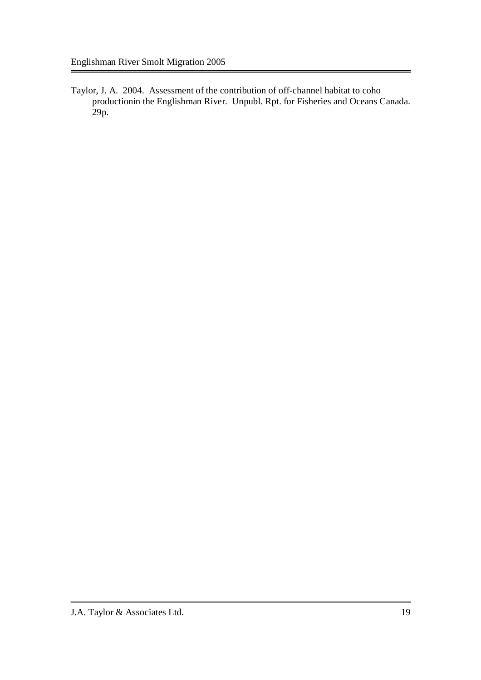Taylor, J. A. 2004. Assessment of the contribution of off-channel habitat to coho productionin the Englishman River. Unpubl. Rpt. for Fisheries and Oceans Canada. 29p.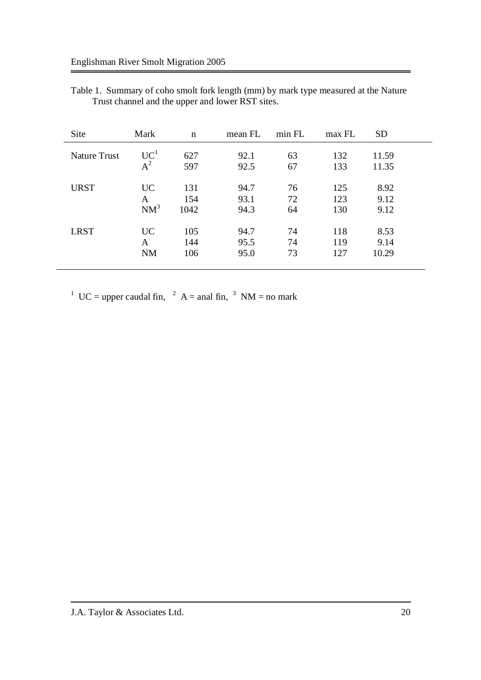|                                                  |  |  |  | Table 1. Summary of coho smolt fork length (mm) by mark type measured at the Nature |
|--------------------------------------------------|--|--|--|-------------------------------------------------------------------------------------|
| Trust channel and the upper and lower RST sites. |  |  |  |                                                                                     |

| Site                | Mark                        | $\mathbf n$        | mean FL              | min FL         | max FL            | <b>SD</b>             |  |
|---------------------|-----------------------------|--------------------|----------------------|----------------|-------------------|-----------------------|--|
| <b>Nature Trust</b> | UC <sup>1</sup><br>$A^2$    | 627<br>597         | 92.1<br>92.5         | 63<br>67       | 132<br>133        | 11.59<br>11.35        |  |
| <b>URST</b>         | <b>UC</b><br>A<br>$NM^3$    | 131<br>154<br>1042 | 94.7<br>93.1<br>94.3 | 76<br>72<br>64 | 125<br>123<br>130 | 8.92<br>9.12<br>9.12  |  |
| <b>LRST</b>         | <b>UC</b><br>A<br><b>NM</b> | 105<br>144<br>106  | 94.7<br>95.5<br>95.0 | 74<br>74<br>73 | 118<br>119<br>127 | 8.53<br>9.14<br>10.29 |  |

<sup>1</sup> UC = upper caudal fin, <sup>2</sup> A = anal fin, <sup>3</sup> NM = no mark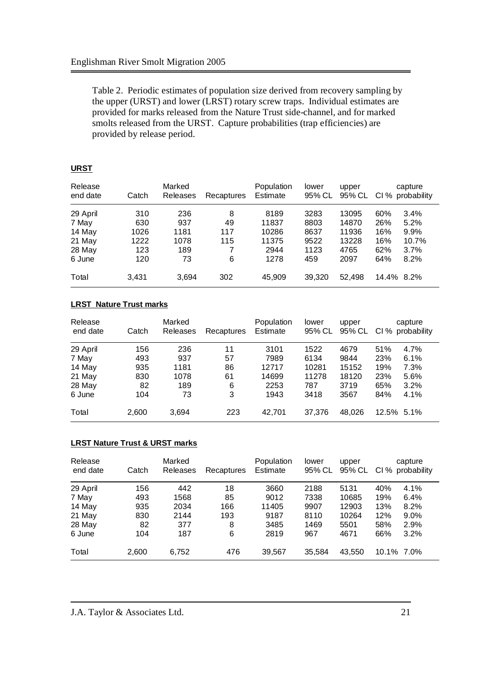Table 2. Periodic estimates of population size derived from recovery sampling by the upper (URST) and lower (LRST) rotary screw traps. Individual estimates are provided for marks released from the Nature Trust side-channel, and for marked smolts released from the URST. Capture probabilities (trap efficiencies) are provided by release period.

#### **URST**

| Catch | Marked<br>Releases | Recaptures | Population<br>Estimate | lower<br>95% CL | upper<br>95% CL |     | capture<br>CI % probability |
|-------|--------------------|------------|------------------------|-----------------|-----------------|-----|-----------------------------|
| 310   | 236                | 8          | 8189                   | 3283            | 13095           | 60% | 3.4%                        |
| 630   | 937                | 49         | 11837                  | 8803            | 14870           | 26% | 5.2%                        |
| 1026  | 1181               | 117        | 10286                  | 8637            | 11936           | 16% | $9.9\%$                     |
| 1222  | 1078               | 115        | 11375                  | 9522            | 13228           | 16% | 10.7%                       |
| 123   | 189                | 7          | 2944                   | 1123            | 4765            | 62% | 3.7%                        |
| 120   | 73                 | 6          | 1278                   | 459             | 2097            | 64% | 8.2%                        |
| 3.431 | 3,694              | 302        | 45.909                 | 39,320          | 52.498          |     |                             |
|       |                    |            |                        |                 |                 |     | 14.4% 8.2%                  |

#### **LRST Nature Trust marks**

| Release<br>end date | Catch | Marked<br>Releases | Recaptures | Population<br>Estimate | lower<br>95% CL | upper<br>95% CL |       | capture<br>CI % probability |
|---------------------|-------|--------------------|------------|------------------------|-----------------|-----------------|-------|-----------------------------|
| 29 April            | 156   | 236                | 11         | 3101                   | 1522            | 4679            | 51%   | 4.7%                        |
| 7 May               | 493   | 937                | 57         | 7989                   | 6134            | 9844            | 23%   | 6.1%                        |
| 14 May              | 935   | 1181               | 86         | 12717                  | 10281           | 15152           | 19%   | 7.3%                        |
| 21 May              | 830   | 1078               | 61         | 14699                  | 11278           | 18120           | 23%   | 5.6%                        |
| 28 May              | 82    | 189                | 6          | 2253                   | 787             | 3719            | 65%   | 3.2%                        |
| 6 June              | 104   | 73                 | 3          | 1943                   | 3418            | 3567            | 84%   | 4.1%                        |
| Total               | 2,600 | 3,694              | 223        | 42.701                 | 37,376          | 48.026          | 12.5% | 5.1%                        |

#### **LRST Nature Trust & URST marks**

| Release<br>end date | Catch | Marked<br>Releases | Recaptures | Population<br>Estimate | lower<br>95% CL | upper<br>95% CL |            | capture<br>CI % probability |
|---------------------|-------|--------------------|------------|------------------------|-----------------|-----------------|------------|-----------------------------|
| 29 April            | 156   | 442                | 18         | 3660                   | 2188            | 5131            | 40%        | $4.1\%$                     |
| 7 May               | 493   | 1568               | 85         | 9012                   | 7338            | 10685           | 19%        | 6.4%                        |
| 14 May              | 935   | 2034               | 166        | 11405                  | 9907            | 12903           | 13%        | 8.2%                        |
| 21 May              | 830   | 2144               | 193        | 9187                   | 8110            | 10264           | 12%        | $9.0\%$                     |
| 28 May              | 82    | 377                | 8          | 3485                   | 1469            | 5501            | 58%        | 2.9%                        |
| 6 June              | 104   | 187                | 6          | 2819                   | 967             | 4671            | 66%        | 3.2%                        |
| Total               | 2,600 | 6,752              | 476        | 39,567                 | 35,584          | 43,550          | 10.1% 7.0% |                             |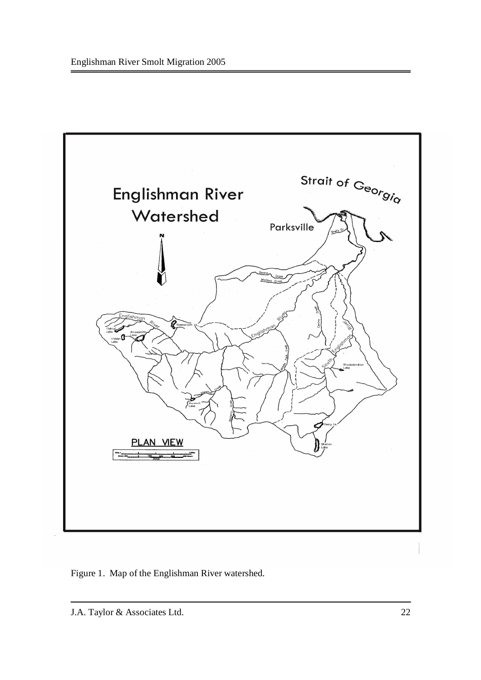

Figure 1. Map of the Englishman River watershed.

J.A. Taylor & Associates Ltd. 22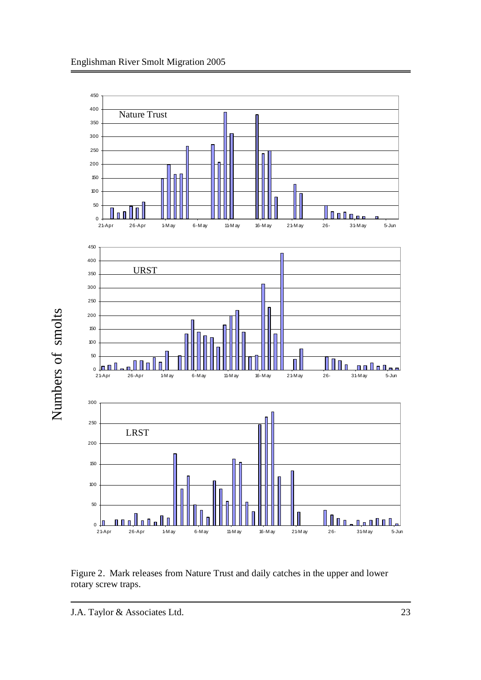

Figure 2. Mark releases from Nature Trust and daily catches in the upper and lower rotary screw traps.

J.A. Taylor & Associates Ltd. 23

Numbers of smolts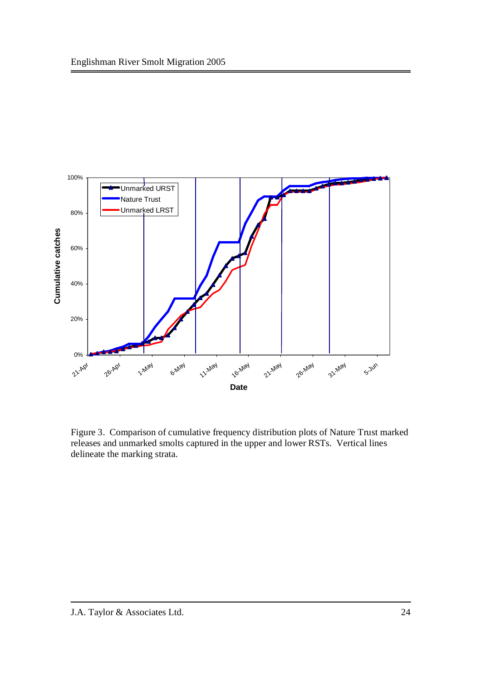

Figure 3. Comparison of cumulative frequency distribution plots of Nature Trust marked releases and unmarked smolts captured in the upper and lower RSTs. Vertical lines delineate the marking strata.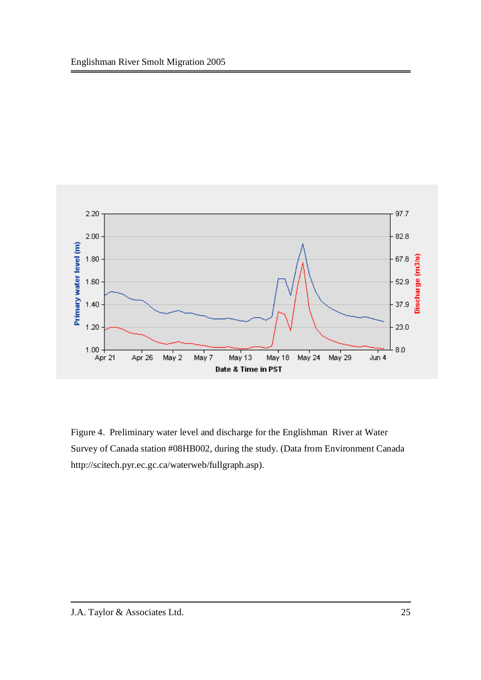

Figure 4. Preliminary water level and discharge for the Englishman River at Water Survey of Canada station #08HB002, during the study. (Data from Environment Canada http://scitech.pyr.ec.gc.ca/waterweb/fullgraph.asp).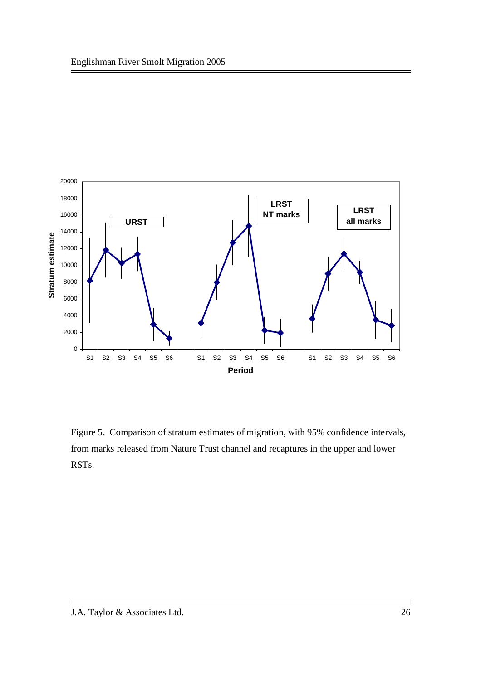

Figure 5. Comparison of stratum estimates of migration, with 95% confidence intervals, from marks released from Nature Trust channel and recaptures in the upper and lower RSTs.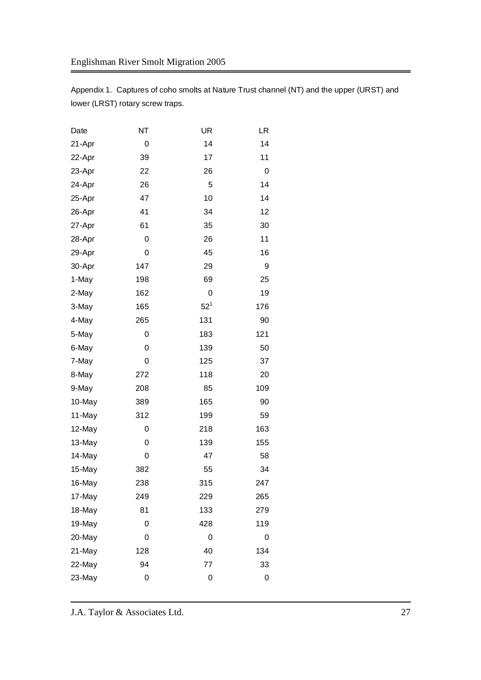| Date   | <b>NT</b>   | <b>UR</b> | LR  |
|--------|-------------|-----------|-----|
| 21-Apr | 0           | 14        | 14  |
| 22-Apr | 39          | 17        | 11  |
| 23-Apr | 22          | 26        | 0   |
| 24-Apr | 26          | 5         | 14  |
| 25-Apr | 47          | 10        | 14  |
| 26-Apr | 41          | 34        | 12  |
| 27-Apr | 61          | 35        | 30  |
| 28-Apr | 0           | 26        | 11  |
| 29-Apr | 0           | 45        | 16  |
| 30-Apr | 147         | 29        | 9   |
| 1-May  | 198         | 69        | 25  |
| 2-May  | 162         | 0         | 19  |
| 3-May  | 165         | $52^{1}$  | 176 |
| 4-May  | 265         | 131       | 90  |
| 5-May  | 0           | 183       | 121 |
| 6-May  | 0           | 139       | 50  |
| 7-May  | 0           | 125       | 37  |
| 8-May  | 272         | 118       | 20  |
| 9-May  | 208         | 85        | 109 |
| 10-May | 389         | 165       | 90  |
| 11-May | 312         | 199       | 59  |
| 12-May | 0           | 218       | 163 |
| 13-May | 0           | 139       | 155 |
| 14-May | 0           | 47        | 58  |
| 15-May | 382         | 55        | 34  |
| 16-May | 238         | 315       | 247 |
| 17-May | 249         | 229       | 265 |
| 18-May | 81          | 133       | 279 |
| 19-May | 0           | 428       | 119 |
| 20-May | 0           | 0         | 0   |
| 21-May | 128         | 40        | 134 |
| 22-May | 94          | 77        | 33  |
| 23-May | $\mathbf 0$ | 0         | 0   |

Appendix 1. Captures of coho smolts at Nature Trust channel (NT) and the upper (URST) and lower (LRST) rotary screw traps.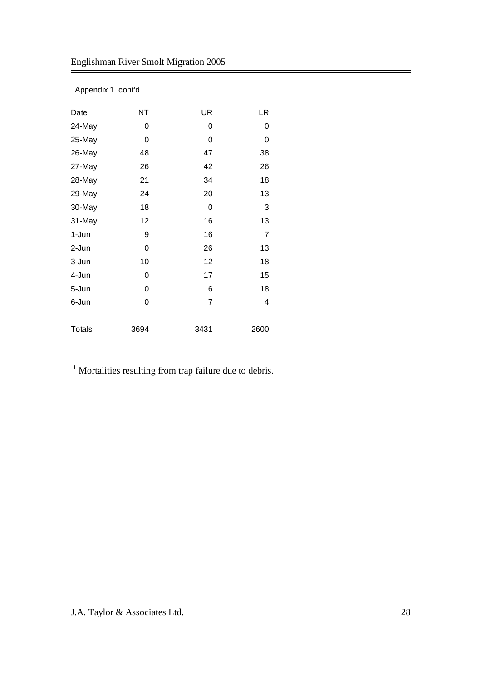| Appendix 1. cont'd |      |                |      |
|--------------------|------|----------------|------|
| Date               | NΤ   | UR             | LR   |
| 24-May             | 0    | 0              | 0    |
| 25-May             | 0    | 0              | 0    |
| 26-May             | 48   | 47             | 38   |
| 27-May             | 26   | 42             | 26   |
| 28-May             | 21   | 34             | 18   |
| 29-May             | 24   | 20             | 13   |
| 30-May             | 18   | 0              | 3    |
| 31-May             | 12   | 16             | 13   |
| 1-Jun              | 9    | 16             | 7    |
| 2-Jun              | 0    | 26             | 13   |
| 3-Jun              | 10   | 12             | 18   |
| 4-Jun              | 0    | 17             | 15   |
| 5-Jun              | 0    | 6              | 18   |
| 6-Jun              | 0    | $\overline{7}$ | 4    |
| Totals             | 3694 | 3431           | 2600 |

<sup>1</sup> Mortalities resulting from trap failure due to debris.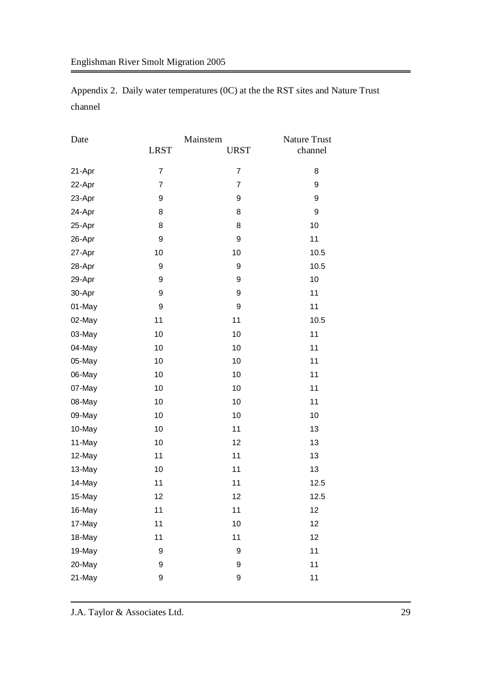Appendix 2. Daily water temperatures (0C) at the the RST sites and Nature Trust channel

| Date   | Mainstem       |             | <b>Nature Trust</b> |
|--------|----------------|-------------|---------------------|
|        | <b>LRST</b>    | <b>URST</b> | channel             |
| 21-Apr | $\overline{7}$ | 7           | 8                   |
| 22-Apr | 7              | 7           | 9                   |
| 23-Apr | 9              | 9           | 9                   |
| 24-Apr | 8              | 8           | 9                   |
| 25-Apr | 8              | 8           | 10                  |
| 26-Apr | 9              | 9           | 11                  |
| 27-Apr | 10             | 10          | 10.5                |
| 28-Apr | 9              | 9           | 10.5                |
| 29-Apr | 9              | 9           | 10                  |
| 30-Apr | 9              | 9           | 11                  |
| 01-May | 9              | 9           | 11                  |
| 02-May | 11             | 11          | 10.5                |
| 03-May | 10             | 10          | 11                  |
| 04-May | 10             | 10          | 11                  |
| 05-May | 10             | 10          | 11                  |
| 06-May | 10             | 10          | 11                  |
| 07-May | 10             | 10          | 11                  |
| 08-May | 10             | 10          | 11                  |
| 09-May | 10             | 10          | 10                  |
| 10-May | 10             | 11          | 13                  |
| 11-May | 10             | 12          | 13                  |
| 12-May | 11             | 11          | 13                  |
| 13-May | 10             | 11          | 13                  |
| 14-May | 11             | 11          | 12.5                |
| 15-May | 12             | 12          | 12.5                |
| 16-May | 11             | 11          | 12                  |
| 17-May | 11             | 10          | 12                  |
| 18-May | 11             | 11          | 12                  |
| 19-May | 9              | 9           | 11                  |
| 20-May | 9              | 9           | 11                  |
| 21-May | 9              | 9           | 11                  |

J.A. Taylor & Associates Ltd. 29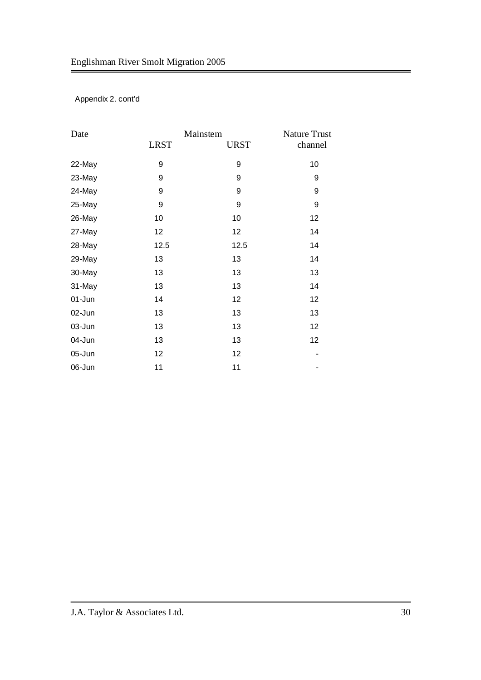### Appendix 2. cont'd

| Date       |             | Mainstem    | Nature Trust |  |  |
|------------|-------------|-------------|--------------|--|--|
|            | <b>LRST</b> | <b>URST</b> | channel      |  |  |
| 22-May     | 9           | 9           | 10           |  |  |
| 23-May     | 9           | 9           | 9            |  |  |
| 24-May     | 9           | 9           | 9            |  |  |
| 25-May     | 9           | 9           | 9            |  |  |
| 26-May     | 10          | 10          | 12           |  |  |
| 27-May     | 12          | 12          | 14           |  |  |
| 28-May     | 12.5        | 12.5        | 14           |  |  |
| 29-May     | 13          | 13          | 14           |  |  |
| 30-May     | 13          | 13          | 13           |  |  |
| 31-May     | 13          | 13          | 14           |  |  |
| $01 - Jun$ | 14          | 12          | 12           |  |  |
| 02-Jun     | 13          | 13          | 13           |  |  |
| 03-Jun     | 13          | 13          | 12           |  |  |
| 04-Jun     | 13          | 13          | 12           |  |  |
| 05-Jun     | 12          | 12          |              |  |  |
| 06-Jun     | 11          | 11          |              |  |  |